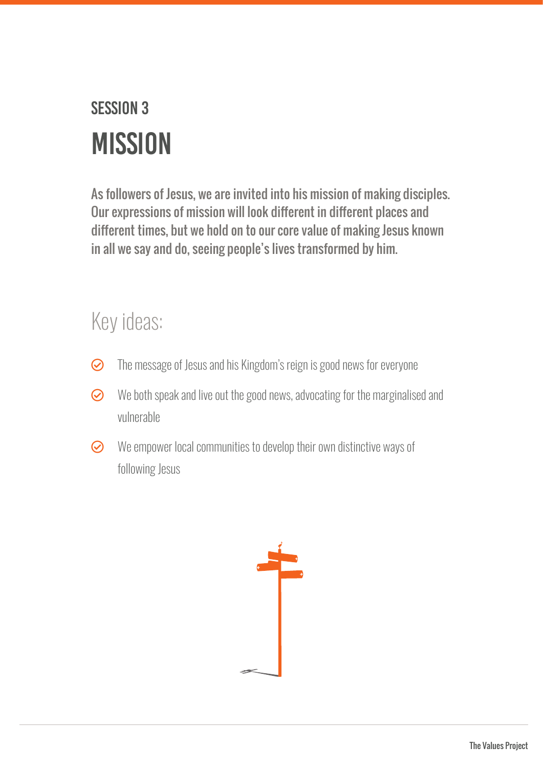## SESSION 3 **MISSION**

As followers of Jesus, we are invited into his mission of making disciples. Our expressions of mission will look different in different places and different times, but we hold on to our core value of making Jesus known in all we say and do, seeing people's lives transformed by him.

## Key ideas:

- $\odot$  The message of Jesus and his Kingdom's reign is good news for everyone
- $\odot$  We both speak and live out the good news, advocating for the marginalised and vulnerable
- $\odot$  We empower local communities to develop their own distinctive ways of following Jesus